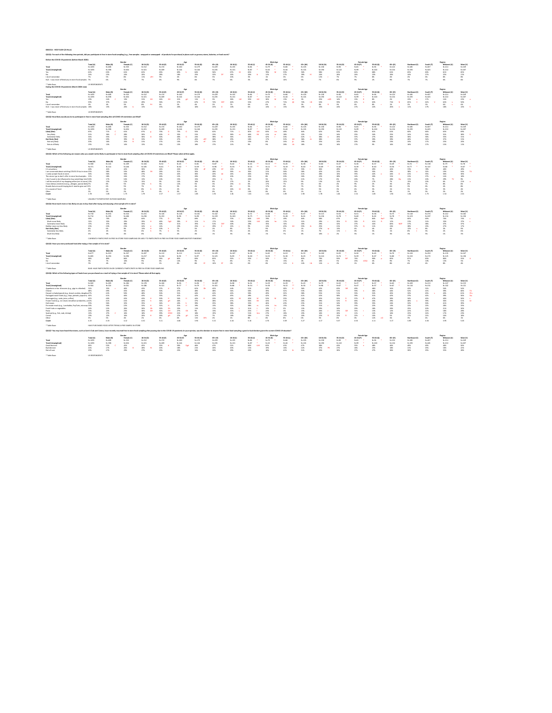### **060421A - HOD FLASH (24 Hour)**

QS1Q1: For each of the following time periods, did you participate in free in-store food sampling (e.g., free samples - wrapped or unwrapped - of products for purchase) in places such as grocery stores, bakeries, or food c

## **Before the COVID-19 pandemic (before March 2020)**

### \* Table Base: US RESPONDENTS

**During the COVID-19 pandemic (March 2020-now)**

\* Table Base: US RESPONDENTS

## **QS1Q2: How likely would you be to participate in free in-store food sampling after all COVID-19 restrictions are lifted?**

\* Table Base: US RESPONDENTS

## **QS1Q3: Which of the following are reasons why you would not be likely to participate in free in-store food sampling after all COVID-19 restrictions are lifted? Please select all that apply.**

\* Table Base: UNLIKELY TO PARTICIPATE IN FOOD SAMPLING

**QS1Q4: How much more or less likely are you to buy food after trying and enjoying a free sample of it in-store?**

|                  |        | Male (B) | Female (C) | 18-34 (D)  | 35-44 (E  | 45-54 (F) | 55-64 (G) | 65+ (H)   | 18-34 (I) | 35-44 (J)  | 45-54 (K) | 55-64 (L)                  | 65+ (M)      | 18-34 (N) | 35-44 (O) | 45-54 (P)     | 55-64 (Q)  | 65+ (R)   | <b>Northeast (S</b> | South (T) | Midwest (し, | West (V)  |
|------------------|--------|----------|------------|------------|-----------|-----------|-----------|-----------|-----------|------------|-----------|----------------------------|--------------|-----------|-----------|---------------|------------|-----------|---------------------|-----------|-------------|-----------|
| Total            | N=1055 | N=488    | N=535      | N=312      | N=174     | N=160     | N=179     | $N = 229$ | $N = 155$ |            |           | N=84 * N=79 * N=86 * N=105 |              | N=158     |           | N=90 * N=81 * | $N = 94$ * | N=124     | N=185               | N=407     | $N = 214$   | $N = 249$ |
| Total (Unwei     | N=1055 | N=398    | N=634      | N=321      | $N = 209$ | $N = 144$ | N=146     | $N = 235$ | $N = 131$ | $N = 87$ * |           | $N=45$ * $N=46$            | $\ast$ N=101 | N=190     | $N = 122$ | $N = 99$ *    | $N = 100$  | $N = 134$ | $N = 193$           | N=445     | $N = 210$   | $N = 207$ |
| Yes              | 62%    | 63%      |            | 62%        | 63%       | 69%       | 64%       | 56%       | 67% M 65% |            | 78% M 59% |                            | 50%          | 58%       | 61%       | 61%           | 68%        | 61%       | 65%                 | 60%       | 61%         | 65%       |
| No               |        | 25%      | 24%        | 20%        | 28%       |           | 25%       | 32% DF    | 16%       | 30% ik     | 12%       | 27%                        | 39%          | 24%       | 26%       | 24%           | 23%        | 26%       | 24%                 |           | 25%         | 21%       |
| I don't remember |        | 5%       | 8%         | 11% efH 5% |           |           |           |           | 10%       | 3%         | 1%        | 3%                         | 6%           |           | 7%        | 7%            | 8%         |           |                     | 6%        |             |           |
|                  |        |          |            |            | 4%        |           |           |           |           |            | 8%        | 10%                        | 5%           |           | 6%        |               |            |           |                     |           |             |           |

|                  |                         |           |            |           |           |           |           |           |                                                                                       |           | Male Age   |           |           |                                                                  |           |                            |           |           |               |           |                                            |           |
|------------------|-------------------------|-----------|------------|-----------|-----------|-----------|-----------|-----------|---------------------------------------------------------------------------------------|-----------|------------|-----------|-----------|------------------------------------------------------------------|-----------|----------------------------|-----------|-----------|---------------|-----------|--------------------------------------------|-----------|
|                  | Total (A)               | Male (B)  | Female (C) | 18-34 (D) | 35-44 (E) | 45-54 (F) | 55-64 (G) | 65+ (H)   | 18-34 (I)                                                                             | 35-44 (J) | 45-54 (K)  | 55-64 (L) | 65+ (M)   | 18-34 (N)                                                        | 35-44 (O) | 45-54 (P)                  | 55-64 (Q) | 65+ (R)   | Northeast (S) | South (T) | Midwest (U)                                | West (V)  |
| Total            | N=1055 N=1055           | N=488     | N=535      | $N = 312$ | N=174     | N=160     | N=179     | $N = 229$ | N=155       N=84   *    N=79   *    N=86   *    N=105                                 |           |            |           |           | $N = 158$                                                        |           | N=90 * N=81 * N=94 * N=124 |           |           | N=185         | $N = 407$ | N=214                                      | $N = 249$ |
|                  | N=1055                  | $N = 398$ | N=634      | N=321     | $N = 209$ | $N = 144$ | $N = 146$ | $N = 235$ | $N=131$ $N=87$ $*$ $N=45$ $N=46$ $*$ $N=101$                                          |           |            |           |           | $N = 190$                                                        | $N = 122$ | N=99 * N=100               |           | $N = 134$ | N=193         | $N = 445$ | $N = 210$                                  | $N=207$   |
| Yes <b>Mark</b>  | 19% по последните при п | 24% C 13% |            |           |           |           |           |           |                                                                                       |           |            |           |           |                                                                  |           |                            |           |           | 23% u 17%     |           |                                            |           |
|                  | 59%        57%          |           | 61%        | 49%       | 56%       | $57\%$    |           |           | 67%   D    72%   DEF   46%        53%        47%        72%   IjK    74%   IJK    52% |           |            |           |           |                                                                  | $59\%$    |                            |           |           |               |           | 67% n 63%      71% N 65% V 62% V 62% v 50% |           |
| I don't remember | 4%                      | 4%        | 5%         | 8% fH 4%  |           |           | 4%        | $2\%$ 7%  |                                                                                       |           |            |           |           | 6%        0%        0%        3%        8%    R    3%         4% |           |                            | 8% r 1%   |           | $2\%$         | $3\%$     | 6% s 6%                                    |           |
|                  |                         |           | $20\%$ h   | 13%       | 15%       |           | 18%       | 23% D 10% |                                                                                       | 6%        | 24% iJ 15% |           | 19% J 15% |                                                                  | 24%       |                            | 22%       | 26% n     | 11%           |           | 18%                                        | 22% S     |

## \* Table Base: CURRENTLY PARTICIPATE IN FREE IN-STORE FOOD SAMPLING OR LIKELY TO PARTICIPATE IN FREE IN-STORE FOOD SAMPLING POST-PANDEMIC

**QS1Q5: Have you ever purchased food after trying a free sample of it in-store?**

|                   |           | Gende <sup>®</sup> |           |           |           |           |           |           |           |              | <b>Male Age</b> |           |           |           |           | <b>Female A</b> |          |           |               |           |           |           |
|-------------------|-----------|--------------------|-----------|-----------|-----------|-----------|-----------|-----------|-----------|--------------|-----------------|-----------|-----------|-----------|-----------|-----------------|----------|-----------|---------------|-----------|-----------|-----------|
|                   | Total (A) | Male (B)           | Female (1 | 18-34 (D  | 35-44 (E) | 45-54 (F) | 55-64 (G) | 65+ (H)   | 18-34 (   | 35-44 (J)    | 45-54 (K)       | 55-64 (L) | 65+ (M)   | 18-34 (N) | 35-44 (O) | 45-54 (P)       | 55-64 (Q | 65+ (R)   | Northeast (S) | South (T) | Midwest   | West (V)  |
| <b>Total</b>      | N=1055    | N=488              | $N = 535$ | $N = 312$ | $N = 174$ |           | $N = 179$ | $N = 229$ | $N = 155$ | $N = 84$     | $N=79$          |           | $N = 105$ | $N = 158$ | $N=90$    | N=81            |          | $N=124$   | $N = 185$     |           | $N = 214$ | $N = 249$ |
| Total (Unweighte  | N=1055    | $N = 398$          | N=634     | $N = 321$ | $N = 209$ | $N = 144$ | $N = 146$ | $N = 235$ | $N = 131$ | $N=87$       | N=45            | N=46      | $N = 101$ | $N = 190$ | $N = 122$ | N=99            | N=100    | $N = 134$ | $N = 193$     | $N = 445$ | $N = 210$ | $N = 207$ |
| Likely (Net)      | 65%       | 71%                |           |           | 70%       |           |           |           | 71%       | 82%          | 83%             | 48%       | 64%       | 62%       | 59%       | 63%             |          | 61%       |               | 66%       |           | 69%       |
| Very likely       |           | 36%                | 28%       | 30%       | 40%       | 33%       |           |           | 38%       | 46%<br>- IM- | 41%             | 28%       | 22%       | 23%       | 34%       | 25%             | 34%      | 25%       | 24%           |           | 31%       | 38%       |
|                   |           | 35%                | 33%       | 36%       | 30%       | 40%       | 24%       |           | 34%       |              | 42%             | 20%       | 42%       | 38%       | 26%       |                 |          | 36%       |               |           |           | 31%       |
| Not likely (Net)  |           | 29%                |           |           | 30%       |           |           |           | 29%       | 18%          | 17%             |           | 36%       | 38%       | 41%       |                 |          | 39%       | 40%           |           |           | 31%       |
| Not very likely   | 20%       | 16%                |           | 21%       | 17%       | 14%       |           |           | 17%       | 10%          | 8%              |           | 19%       | 25%       | 24%       | 20%             | 30%      | 23%       |               | 17%       |           | 20%       |
| Not at all likely |           | 13%                | 14%       | 13%       | 13%       |           | 18%       |           | 12%       | 9%           | 9%              | 28%       | 18%       | 13%       | 16%       |                 |          | 16%       |               | 17%       |           | 11%       |

|                                                                 |           |           | Gender     |           |           | Age       |           |         |           |             | <b>Male Age</b> |           |          |           |           | <b>Female Age</b> |           |           |               |           | Region      |          |
|-----------------------------------------------------------------|-----------|-----------|------------|-----------|-----------|-----------|-----------|---------|-----------|-------------|-----------------|-----------|----------|-----------|-----------|-------------------|-----------|-----------|---------------|-----------|-------------|----------|
|                                                                 | Total (A) | Male (B)  | Female (C) | 18-34 (D) | 35-44 (E) | 45-54 (F) | 55-64 (G) | 65+ (H) | 18-34 (I) | $35-44$ (J) | 45-54 (K)       | 55-64 (L) | 65+ (M)  | 18-34 (N) | 35-44 (O) | 45-54 (P)         | 55-64 (Q) | $65+ (R)$ | Northeast (S) | South (T) | Midwest (U) | West (V) |
| Total                                                           | $N = 368$ | $N = 144$ | $N = 209$  | $N = 104$ | $N=52$    | $N = 43$  | N=81      | N=87    | $N = 44$  | $N=16$      | $N = 13$        | $N=45$    | $N = 38$ | $N=60$    | $N=37$    | $N=30$            | $N = 37$  | $N = 49$  | N=74          | $N = 138$ | N=79        | $N = 78$ |
| <b>Total (Unweighted)</b>                                       | $N = 371$ | $N=114$   | $N = 246$  | $N = 105$ | $N=61$    | N=50      |           | N=96    |           | $N=15$      | $N = 11$        |           |          | $N=69$    | $N = 46$  | $N=39$            | $N = 40$  |           | $N=77$        |           | $N = 80$    | $N = 67$ |
| It's unsanitary.                                                |           | 41%       | 42%        | 30%       | 44%       | 24%       |           | 49%     |           |             | 20%             | 52%       |          |           | 49%       | 26%               | 49%       | 46%       |               |           | 40%         |          |
| I am concerned about catching COVID-19 via in-store 35%         |           |           | 33%        | 48%       | 26%       |           |           | 28%     | 56%       |             |                 |           |          |           | 22%       | 36%               |           | 29%       |               |           | 19%         | 54%      |
| I rarely sample foods in-store.                                 |           | 36%       | 34%        |           | 25%       |           |           | 43%     | 24%       |             |                 |           |          |           | 16%       | 35%               | 42%       | 44%       |               |           | 30%         |          |
| The stores I go to don't offer in-store food samples. 21%       |           |           | 24%        |           | 26%       |           |           |         | 10%       | 23%         |                 | 20%       |          |           | 28%       | 14%               | 20%       | 31%       |               |           |             |          |
| I don't want to be influenced to buy something I don't 16%      |           |           | 16%        |           |           |           |           |         |           |             |                 |           |          |           |           |                   |           | 28%       |               |           | 29%         |          |
| I will do most/all of my shopping online (not in-store). 13%    |           | 15%       | 12%        |           |           |           |           |         |           |             |                 | 15%       |          |           | 12%       | 11%               |           |           |               |           |             |          |
| I have dietary restrictions (e.g., allergies, special diets) 7% |           |           |            |           |           |           |           |         |           |             |                 |           |          |           |           |                   |           |           |               |           |             |          |
| Brands that are worth buying don't need to give out fr 5%       |           |           |            |           |           |           |           |         |           |             |                 | 4%        |          |           |           |                   |           |           |               |           |             |          |
| It's a waste of food.                                           |           |           |            |           |           |           |           |         | 16%       |             |                 |           |          |           |           |                   |           |           |               |           |             |          |
| Other                                                           |           |           |            |           |           |           |           |         |           |             |                 |           |          |           |           |                   |           |           |               |           |             |          |
| Count                                                           |           | 1.85      | 1.75       |           | 1.57      |           | 1.85      | 1.92    | 1.81      | 1.81        |                 | 1.85      |          |           | 1.46      | 1.54              | 1.85      | 1.94      | 1.84          |           | 1.54        |          |

\* Table Base: BASE: HAVE PARTICIPATED IN OR CURRENTLY PARTICIPATE IN FREE IN-STORE FOOD SAMPLING

**QS1Q6: Which of the following types of foods have you purchased as a result of trying a free sample of it in-store? Please select all that apply.**

|                             |           |           | Gender     |            |           | Age       |             |            |           |           | Male Age  |           |          |           |           | <b>Female Age</b> |            |         |               |           |             |           |
|-----------------------------|-----------|-----------|------------|------------|-----------|-----------|-------------|------------|-----------|-----------|-----------|-----------|----------|-----------|-----------|-------------------|------------|---------|---------------|-----------|-------------|-----------|
|                             | Total (A) | Male (B)  | Female (C) | $18-34(D)$ | 35-44 (E) | 45-54 (F) | 55-64 (G)   | 65+ (H)    | 18-34 (I) | 35-44 (J) | 45-54 (K) | 55-64 (L) | 65+ (M)  | 18-34 (N) | 35-44 (O) | 45-54 (P)         | 55-64 (Q)  | 65+ (R) | Northeast (S) | South (T) | Midwest (U) | West (V)  |
| Total                       | $N = 718$ | $N = 356$ | $N = 344$  | $N = 231$  | $N = 126$ | $N = 118$ | $N = 101$   | $N = 142$  | $N = 116$ | N=72      | $N = 68$  | $N = 43$  | $N = 67$ |           |           | $N = 51$          | N=58       | $N=75$  | $N = 118$     | $N = 276$ | $N = 142$   | $N = 182$ |
|                             | N=714     | $N = 295$ | $N = 406$  | $N = 236$  | $N = 153$ | N=96      | =90         | $N = 139$  | $N = 100$ | $N = 75$  | $N = 36$  | $N=28$    | N=61     |           | N=78      |                   | N=62       | $N=78$  | $N = 123$     | $N = 307$ | $N = 134$   | $N = 150$ |
| Likely (Net)                | 69%       | 70%       | 68%        | 64%        |           | 709       |             | 69%        | 70%       | 84%       |           | 49%       | 64%      | 58%       | 67%       | 60%               | 84%<br>NoP |         | 60%           |           | 70%         | 74%       |
| Much more likely            | 31%       | 33%       | 29%        | 29%        | 46%       |           |             |            | 30%       | 55%       | 43%       | 17%       | 21%      | 29%       |           |                   |            |         | 23%           |           | 33%         | 37%       |
| Somewhat more likel         |           |           | 38%        | 35%        | 30%       |           | 39%         | 52%<br>DEF | 40%       | 29%       |           | 32%       | 43%      | 29%       |           |                   | 44%        | 60%     | 37%           | 38%       | 37%         | 37%       |
| Neither more nor less likel | 23%       |           | 23%        | 24%        | 14%       | 23%       | 25%         | 29%        |           | 9%        | 13%       | 45%       |          | 25%       |           | 2704              | 11%        | 24%     | 28%           | 23%       | 27%         |           |
| Not Likely (Net)            |           |           |            |            |           |           |             | <b>270</b> | 8%        |           |           |           |          |           | 13%       | 4%                | 4%         | 4%      |               |           |             |           |
|                             | 4%        |           |            | ና%         |           | 5%        | <b>∠</b> 70 | 1%         | 6%        | 4%        |           |           |          | 7%        |           |                   |            |         |               |           |             |           |
|                             | 4%        |           |            | ና%         |           |           | 4%          | 1%         |           | २%        |           |           | በ%       |           |           |                   |            |         |               |           |             |           |

|                           |            |          |            |           |            |           |                                                                          |                 |           |                                                                                | Male Age  |               |                                                                                                                       |           |                          | Female Age |           |         |               |           |                         |           |
|---------------------------|------------|----------|------------|-----------|------------|-----------|--------------------------------------------------------------------------|-----------------|-----------|--------------------------------------------------------------------------------|-----------|---------------|-----------------------------------------------------------------------------------------------------------------------|-----------|--------------------------|------------|-----------|---------|---------------|-----------|-------------------------|-----------|
|                           |            | Male (B) | Female (C) | 18-34 (D) | 35-44 (E)  | 45-54 (F) | 55-64 (G)                                                                | 65+ (H)         | 18-34 (I) | 35-44 (J)                                                                      | 45-54 (K) | 55-64 (L)     | 65+ (M)                                                                                                               | 18-34 (N) | 35-44 (O)                | 45-54 (P)  | 55-64 (Q) | 65+ (R) | Northeast (S) | South (T) | Midwest (U)             | West (V)  |
| <b>Total</b>              |            |          | N=337      | N=207     | $N = 113$  | $N = 112$ | $N = 116$                                                                |                 |           |                                                                                |           |               | N=129      N=107      N=58  *    N=63  *    N=53  *    N=53  *    N=100      *   N=50  *    N=63  *   N=76  *   N=126 |           |                          |            |           |         |               | $N = 250$ | $N=135$ $N=167$         |           |
| <b>Total (Unweighted)</b> |            |          | $N = 396$  | N=217     | $N = 134$  |           |                                                                          |                 |           |                                                                                |           |               | N=92 * N=97 * N=125 N=93 * N=60 * N=33 * N=30 * N=45 * N=124 N=74 * N=59 * N=67 * N=80 * N=132                        |           |                          |            |           |         |               | N=272     | N=125                   | $N = 136$ |
| Yes                       | 86% година | 89%      | 84%        | 86%       | 93% gh 85% |           | 83%        83%        92%   L    93%   l     94%   l     74%         82% |                 |           |                                                                                |           |               |                                                                                                                       |           |                          |            |           |         | 87% 85%       |           | 80%        91% <b>L</b> |           |
| No l                      | 9% 7%      |          | 10%        |           | 6%         | 14%       | $9\%$                                                                    | $7\%$           | 8% 7% 7%  |                                                                                | 6% 15%    |               | 4%                                                                                                                    | 10%       | 5% 125% nOQr 4% 9% 9% 7% |            |           |         |               | $10\%$    | 13%                     |           |
| I don't remember          | 5% 4%      |          |            |           |            | በ%        |                                                                          | 8% Ef 10% EF 0% |           | $\sim$ 0% and 0% and 0% and 0% and 0% and 0% and 0% and 0.00% and 0.000 $\sim$ |           | <b>11%</b> II |                                                                                                                       |           | 14% IJk 11% o 2% 1%      |            | 6% — 6%   | 8%      | $6\%$ 4%      |           | $8\%$ 4%                |           |

|                                                           |           |           | Gender     |           |           |      |           |           |           |           |           | <b>Male Age</b> |           |         |           |           | <b>Female Age</b> |           |          |                      |           | Region      |           |
|-----------------------------------------------------------|-----------|-----------|------------|-----------|-----------|------|-----------|-----------|-----------|-----------|-----------|-----------------|-----------|---------|-----------|-----------|-------------------|-----------|----------|----------------------|-----------|-------------|-----------|
|                                                           | Total (A) | Male (B)  | Female (C) | 18-34 (D) | 35-44 (E) |      | 45-54 (F) | 55-64 (G) | 65+ (H)   | 18-34 (I) | 35-44 (J) | 45-54 (K)       | 55-64 (L) | 65+ (M) | 18-34 (N) | 35-44 (O) | 45-54 (P)         | 55-64 (Q) | 65+ (R)  | <b>Northeast (S)</b> | South (T) | Midwest (U) | West (V)  |
| Total                                                     | N=582     | N=285     | N=284      | $N = 178$ | $N = 106$ |      | $N = 96$  | N=96      | $N = 107$ |           | N=54      | $N = 59$        | $N = 39$  | N=43    | $N = 79$  | $N=52$    | $N=37$            | $N=57$    | $N = 63$ | $N = 109$            | $N = 213$ | $N = 107$   | $N = 153$ |
| <b>Total (Unweighted)</b>                                 | $N = 564$ | $N = 224$ | $N = 331$  | $N = 186$ | $N = 121$ |      | $N = 77$  | $N = 79$  | $N = 101$ |           | N=54      | $N = 30$        | $N=22$    |         | N=98      | N=67      | N=47              | $N = 57$  | N=67     | $N = 110$            | $N = 231$ | $N = 102$   | $N = 121$ |
| Appetizers or hor d'oeuvres (e.g., pigs in a blanket) 51% |           | 55%       | 46%        |           | 57%       |      | 57%       | 62%       |           |           | 51%       | 62%             | 82%       | 56%     | 42%       | 63%       | 49%               |           | 34%      |                      |           | 54%         |           |
|                                                           |           | 49%       |            |           |           |      |           | 48%       |           |           |           |                 |           |         |           |           |                   |           | 44%      |                      |           |             | 60%       |
| Dessert or baked goods (e.g., bread, cookies, doughnu 47% |           |           |            |           |           |      |           | 44%       |           |           |           |                 |           |         |           |           |                   |           | 45%      |                      |           | 45%         |           |
| Packaged snack foods (e.g., chips, pretzels, popcorn) 44% |           |           |            |           |           |      |           |           |           |           |           |                 |           |         |           |           |                   |           |          |                      |           |             |           |
| Beverages (e.g., soda, juice, coffee)                     |           |           |            |           |           |      |           |           |           |           | 45%       |                 |           |         |           | 55%.      |                   |           |          |                      |           |             |           |
| Frozen food (e.g., ice cream, breakfast sandwiches, w 42% |           | 41%       |            |           | 54%       |      |           |           |           |           | 56%       |                 |           |         |           |           |                   |           | 29%      |                      |           |             |           |
| Deli meats                                                |           | 36%       |            |           |           |      |           |           |           |           |           |                 |           |         |           |           |                   |           |          |                      |           |             |           |
| Pre-made meals (e.g., Lunchables, PopTarts, microwa 26%   |           | 30%       |            |           |           |      |           | 19%       |           |           | 38%       | 41%             |           |         |           | 24%       |                   |           | 13%      |                      |           |             |           |
| Fresh fruits or vegetables                                | 24%       | 22%       | 26%        | 30% -     | 32%       |      | 23%       | 11%       | 17%       | 30%       | 31%       | 19%             |           |         |           | ላ4%       | 29%               |           | 20%      |                      |           |             |           |
|                                                           |           | 24%       | 23%        | 30% -     | 31%       |      | 27%       | -9%       |           |           | 25%       | 24%             |           |         | 26%       | 37%       |                   |           | 12%      |                      |           |             |           |
| Seafood (e.g., fish, crab, shrimp)                        | 22%       | 27%       | 16%        |           | 39%       | ŀfGH | 21%       | 18%       |           |           | 51%       | 27%             | 26%       |         |           | ን6%       | 11%               |           | 16%      |                      |           |             |           |
| Cerea                                                     |           | ንን%       |            | 20%       | 26%       |      |           | 12%       |           |           |           |                 | 14%       |         | 22%       | 22%       |                   |           |          |                      |           |             |           |
|                                                           |           |           |            |           |           |      |           | 11%       |           |           |           |                 |           |         |           |           |                   | 12%       |          |                      |           |             |           |
| Count                                                     |           |           |            |           | 5.11      |      |           | 3.94      |           |           |           |                 |           |         |           |           | 4.50              |           |          |                      |           |             |           |

\* Table Base: HAVE PURCHASED FOOD AFTER TRYING A FREE SAMPLE IN-STORE

QS1Q7: You may have heard that stores, such as Sam's Club and Costco, have recently resumed free in-store food sampling after pausing due to the COVID-19 pandemic.In your opinion, was the decision to resume free in-store f

|                    |           |                             |                   |                  |           |                               |           |              |                 |           | <b>Male Age</b> |                            |         |                                                                                                                 |                            |           |           |           |               |           |             |           |
|--------------------|-----------|-----------------------------|-------------------|------------------|-----------|-------------------------------|-----------|--------------|-----------------|-----------|-----------------|----------------------------|---------|-----------------------------------------------------------------------------------------------------------------|----------------------------|-----------|-----------|-----------|---------------|-----------|-------------|-----------|
|                    | Total (A) | Male (B)                    | <b>Female (C)</b> | 18-34 (D)        | 35-44 (E) | 45-54 (F)                     | 55-64 (G) | 65+ (H)      | 18-34 (I)       | 35-44 (J) | 45-54 (K)       | 55-64 (L)                  | 65+ (M) | 18-34 (N)                                                                                                       | 35-44 (O)                  | 45-54 (P) | 55-64 (Q) | 65+ (R)   | Northeast (S) | South (T) | Midwest (U) | West (V)  |
| Total              |           |                             | $N = 535$         | $N = 312$        | $N = 174$ | $N = 160$                     | $N = 179$ |              |                 |           |                 |                            |         | N=229      N=155      N=84  *    N=79  *    N=86  *    N=105      N=158     N=90  *   N=81  *   N=94  *   N=124 |                            |           |           |           | $N = 185$     | N=407     | $N = 214$   | $N = 249$ |
| Total (Unweighted) |           |                             | N=634             | N=321            | $N = 209$ | N=144                         | $N = 146$ |              | $N=235$ $N=131$ |           |                 | N=87 * N=45 * N=46 * N=101 |         | $N = 190$                                                                                                       | $N=122$ $N=99$ $*$ $N=100$ |           |           | $N = 134$ | $N = 193$     | N=445     | N=210       | $N = 207$ |
| Good decision      |           | 49%        55% <b>C</b> 45% |                   | 45%              |           | 55% d 59% Dgh 46% 47% 51% 51% |           |              |                 |           |                 | 66% iLM 63% 43% 43% 47%    |         | 38%                                                                                                             | 43%                        | 55% n 48% |           | 46%       | 49%           | 49%       | 48%         | $50\%$    |
| Bad decision       |           | 22% 17%                     |                   | 26% B 28% fh 20% |           | 18%                           | $21\%$    | 20% 20%      |                 | 13% 19%   |                 | 16%                        | 22%     | 37% PR 27%                                                                                                      |                            | 18%       | 25%       | 18%       | 21%           | 25%       | 18%         | 22%       |
| Not all sure       |           | $79\%$ 27%                  | 29%               | 27%              | 25%       | 23%                           | $34\%$    | 33% 29% 2008 |                 | 20% 18%   |                 | 41% Jk 31%                 |         | 25%                                                                                                             | $30\%$                     | 27%       | 27%       | 36%       | 30%           | 25%       | 33%         | 28%       |

\* Table Base: US RESPONDENTS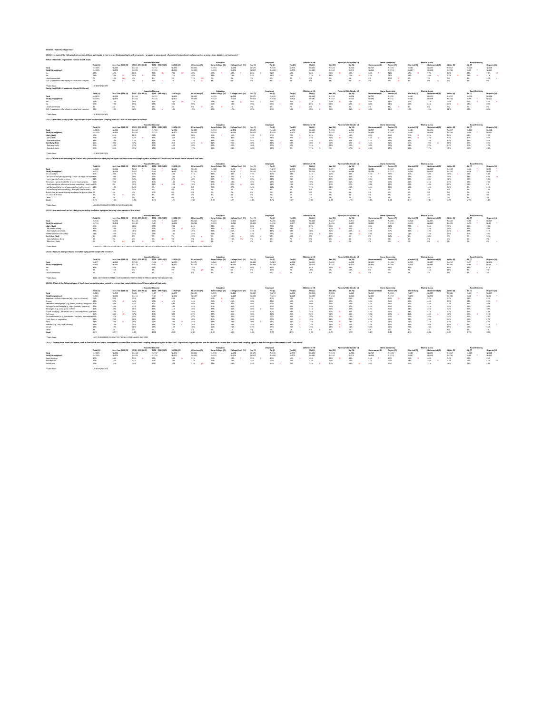## **060421A - HOD FLASH (24 Hour)**

QS1Q1: For each of the following time periods, did you participate in free in-store food sampling (e.g., free samples - wrapped or unwrapped - of products for purchase) in places such as grocery stores, bakeries, or food c

### **Before the COVID-19 pandemic (before March 2020)**

### \* Table Base: US RESPONDENTS

\* Table Base: US RESPONDENTS

## **QS1Q2: How likely would you be to participate in free in-store food sampling after all COVID-19 restrictions are lifted?**

\* Table Base: US RESPONDENTS

## **QS1Q3: Which of the following are reasons why you would not be likely to participate in free in-store food sampling after all COVID-19 restrictions are lifted? Please select all that apply.**

\* Table Base: UNLIKELY TO PARTICIPATE IN FOOD SAMPLING

## **QS1Q4: How much more or less likely are you to buy food after trying and enjoying a free sample of it in-store?**

|                           |           |                     |                     | <b>Household Income</b> |             |                | Education        |                   |           |        |           | Children in HH |         | <b>Parent of Child Under 18</b> |               | <b>Home Ownership</b> |                    | <b>Marital Status</b> |           |        |              |
|---------------------------|-----------|---------------------|---------------------|-------------------------|-------------|----------------|------------------|-------------------|-----------|--------|-----------|----------------|---------|---------------------------------|---------------|-----------------------|--------------------|-----------------------|-----------|--------|--------------|
|                           | Total (A) | Less than \$50K (B) | \$50K - \$74.9K (C) | \$75K - \$99.9K (D)     | \$100K+ (E) | HS or Less (F) | Some College (G) | College Grad+ (H) | Yes (I)   | No (J) | Yes (K)   | No (L)         | Yes (M) | No (N)                          | Homeowner (O) | Renter (P,            | <b>Married (Q)</b> | Not married (R)       | White (S) | AA (T) | Hispanic (U) |
| Total                     | N=1055    | N=294               | N=164               | $N = 132$               | N=394       | $N = 333$      | N=350            | N=198             | $N = 570$ | N=485  | $N = 373$ | N=682          | N=329   | N=726                           | N=717         | N=302                 | N=481              | N=574                 | N=657     | N=126  | N=168        |
| <b>Total (Unweighted)</b> | N=1055    | N=453               | N=205               | N=126                   | $N = 201$   | $N = 339$      | N=320            | $N = 230$         | N=567     | N=488  | $N = 375$ | N=680          | N=342   | $N = 713$                       |               | N=331                 | N=487              | N=568                 | N=744     | N=99   | $N = 111$    |
| Yes                       | 62%       | 52%                 | 60%                 |                         | 73%         | 49%            | 69%              | 68%               | 66%       | 58%    | 66%       | 60%            | 70% N   | 59%                             | 68%           | 52%                   | 69% R              | 57%                   | 62%       | 53%    | 72% sT       |
|                           | 24%       | 29%                 | 29%                 | 15%                     | 21%         | 29%            | 21%              | 23%               | 22%       | 28%    | 19%       | 27%            | 18%     | 27% M                           | 23%           | 28%                   | 21%                | 28%                   |           | 33%    | 11%          |
| I don't remember          |           | 10% cde             | 4%                  |                         | 5%          | 11% GH         | 5%               |                   | 7%        | 6%     | 9%        | 5%             | 8%      | 6%                              | 4%            | 10%                   | 6%                 |                       | 5%        | 8%     | 11%          |
| $N/A - I$ was never o     |           |                     |                     |                         |             | 11%            | 4%               |                   |           |        | - 5%      |                | 4%      |                                 | 5%            |                       | 4%                 |                       |           |        | 6%           |

| During the COVID-19 pandemic (March 2020-now)     |            |                     |                     |                         |                    |                       |           |             |           |           |           |                |           |                                 |               |                       |             |                       |           |               |              |
|---------------------------------------------------|------------|---------------------|---------------------|-------------------------|--------------------|-----------------------|-----------|-------------|-----------|-----------|-----------|----------------|-----------|---------------------------------|---------------|-----------------------|-------------|-----------------------|-----------|---------------|--------------|
|                                                   |            |                     |                     | <b>Household Income</b> |                    |                       |           |             |           | Employe   |           | Children in HH |           | <b>Parent of Child Under 18</b> |               | <b>Home Ownership</b> |             | <b>Marital Status</b> |           | Race/Ethnici  |              |
|                                                   | Total (A)  | Less than \$50K (B) | \$50K - \$74.9K (C) | \$75K - \$99.9K (D)     | <b>\$100K+ (F)</b> | <b>HS or Less (F)</b> |           | $Grad+ (H)$ | Yes (l    | No (J)    | Yes (K)   | No (L)         | Yes (M)   | No (N)                          | Homeowner (O) | Renter (P             | Married (Q) | Not married (R)       | White (S) | <b>AA (T)</b> | Hispanic (U) |
| <b>Total</b>                                      | $N = 1055$ |                     | $N = 164$           | $N = 132$               | $N = 394$          | $N = 333$             | $N = 350$ | $N = 198$   | $N = 570$ | $N = 485$ | $N = 373$ | $N = 682$      | $N = 329$ | $N = 726$                       | N=717         | $V = 302$             | N=481       | $N = 574$             | N=657     | $N = 126$     | $N = 168$    |
| <b>Total (Unweighted)</b>                         | $N = 1055$ | $N = 453$           | $N = 205$           | $N = 126$               |                    | $N = 339$             | N=320     | $N = 230$   | N=567     | $N = 488$ | $N = 375$ | $N = 680$      | N=342     | $N = 713$                       | N=684         | N=331                 | $N = 487$   | $N = 568$             | $N = 744$ | $N = 99$      | N=111        |
| Yes                                               |            |                     |                     |                         |                    | 17%                   |           | 23%         | 26%       | 10%       | 30%       |                |           | 13%                             |               | 18%                   | 20%         | 17%                   | 14%       | 26%           | 26%          |
| No.                                               |            | 59%                 |                     |                         |                    | 59%                   |           | 63%         |           | 65%       | 50%       | 65%            | 53%       | 62%                             | 60%           | 58%                   | 58%         | 61%                   | 64%       | 54%           | 49%          |
| I don't remembe                                   | 4%         | 6%                  |                     |                         | 3%                 | - 70                  |           |             |           |           |           |                |           | 4%                              |               | 8%                    | 3%          | 6%                    | 4%        |               |              |
| N/A - I was never offered any in-store food sampl |            |                     |                     |                         |                    |                       |           |             |           | 20%       |           | 20%            | 100/      | 21%                             | 18%           | 16%                   | 19%         | 16%                   | 18%       |               |              |

\* Table Base: CURRENTLY PARTICIPATE IN FREE IN-STORE FOOD SAMPLING OR LIKELY TO PARTICIPATE IN FREE IN-STORE FOOD SAMPLING POST-PANDEMIC

## **QS1Q5: Have you ever purchased food after trying a free sample of it in-store?**

|                   |            |                     |                    | <b>Household Income</b> |             | Education      |                  |           | <b>Employed</b> |           | <b>Children in HH</b> |           | Parent of Child Under 1 |           | <b>Home Ownership</b> |                  | <b>Marital Status</b> |                 | <b>Race/Ethn</b> |           |            |
|-------------------|------------|---------------------|--------------------|-------------------------|-------------|----------------|------------------|-----------|-----------------|-----------|-----------------------|-----------|-------------------------|-----------|-----------------------|------------------|-----------------------|-----------------|------------------|-----------|------------|
|                   | Total (A)  | Less than \$50K (B) | \$50K - \$74.9K (C | \$75K - \$99.9K (       | \$100K+ (E) | HS or Less (F) | Some College (G) |           | Yes (I)         | No (J)    | Yes (K)               | No (L)    | Yes (M)                 | No(N)     | Homeowner (O)         | <b>Renter</b> (P | Married (Q)           | Not married (R) | White (S         | AA (T)    | Hispanic ( |
| <b>Total</b>      | N=1055     | $N = 29$            | N=16⁄              | N=132                   | N=394       | $N = 333$      | $N = 350$        |           | $N = 570$       | N=485     | $N = 373$             | $N = 682$ | $N = 329$               | $N = 726$ | $N = 717$             | N=302            | $N = 481$             | N=574           | N=657            | $N = 126$ | N=168      |
| Total (Unweighte  | $N = 1055$ | $N = 453$           | $N = 205$          | $N = 126$               | $N = 201$   | $N = 339$      | $N = 320$        | $N = 230$ | $N = 567$       | $N = 488$ | $N = 375$             | N=680     | $N = 342$               | $N = 713$ | $N = 684$             | N=331            | $N = 487$             | N=568           | $N = 744$        | N=99      | $N = 111$  |
| Likely (Net)      | 65%        |                     | 68%                | 68%                     | 69%         | 58%            | 69%              | 65%       |                 | 57%       |                       | 62%       | 70%                     | 63%       | 66%                   | 64%              | 70%                   | 61%             | 65%              | 63%       |            |
| Very likely       |            |                     |                    |                         |             | 26%            |                  |           | 33%             |           |                       | 27%       | 40%                     | 27%       | 33%                   | 26%              | 36%                   |                 |                  | 30%       |            |
| Somewhat likely   | 34%        |                     |                    |                         | 37%         |                | 36%              |           | 38%             | 29%       | 34%                   | 34%       | 30%                     | 36%       | 33%                   | 39%              | 34%                   | 34%             | 34%              | 34%       |            |
| Not likely (Net)  | 35%        |                     |                    |                         | 31%         |                |                  |           | 28%             | 43%       | 29%                   |           | 30%                     | 37%       | 34%                   | 36%              | 30%                   | 39%             | 35%              | 37%       |            |
| Not very likely   | 20%        |                     |                    |                         | 19%         | 24%            |                  | 22%       | 16%             |           | 20%                   |           | 20%                     | 20%       | 20%                   | 20%              | 18%                   | 22%             |                  | 20%       |            |
| Not at all likely | 15%        |                     | 15% .              |                         | 1%          |                |                  | 13%       | 12%             | 18%       | 9%                    |           | 9%                      | 17%       | 13%                   | 16%              | 12%                   | 17%             | 15%              | 16%       |            |

\* Table Base: BASE: HAVE PARTICIPATED IN OR CURRENTLY PARTICIPATE IN FREE IN-STORE FOOD SAMPLING

## **QS1Q6: Which of the following types of foods have you purchased as a result of trying a free sample of it in-store? Please select all that apply.**

|                                                                  |           | <b>Household Income</b> |                     |                     |             |                | Education        |                   |           | Employed  |           | <b>Children in HH</b> |           | <b>Parent of Child Under 18</b> |               | <b>Home Ownership</b> |             | <b>Marital Status</b> |           | Race/Ethnicity |              |
|------------------------------------------------------------------|-----------|-------------------------|---------------------|---------------------|-------------|----------------|------------------|-------------------|-----------|-----------|-----------|-----------------------|-----------|---------------------------------|---------------|-----------------------|-------------|-----------------------|-----------|----------------|--------------|
|                                                                  | Total (A) | Less than \$50K (B)     | \$50K - \$74.9K (C) | \$75K - \$99.9K (D) | \$100K+ (E) | HS or Less (F) | Some College (G) | College Grad+ (H) | Yes (I    | No (J)    | Yes (K)   | No (L)                | Yes (M)   | No (N)                          | Homeowner (O) | <b>Renter (P</b>      | Married (Q) | Not married (R)       | White (S) | AA (T)         | Hispanic (U) |
| <b>Total</b>                                                     |           | N=114                   |                     |                     |             | $N = 139$      | $N = 108$        |                   | $N = 161$ | $N = 207$ | $N = 109$ | $N = 260$             |           | $N = 271$                       | $N = 240$     | $N = 107$             | $N = 145$   | $N = 223$             | $N = 232$ | $N=46$         |              |
| <b>Total (Unweighted)</b>                                        | N=371     | $N = 164$               | $N = 67$            | $N=44$              | $N=59$      | $N = 135$      | $N = 107$        |                   | $N = 167$ | $N = 204$ | $N = 115$ | $N = 256$             | $N = 102$ | $N = 269$                       | $N = 238$     | $N = 112$             | $N = 165$   | $N = 206$             | $N = 262$ | $N=36$         |              |
| It's unsanitary.                                                 | 40%       |                         |                     |                     | 48%         |                | 44%              | 48%               | 37%       | 43%       | 38%       |                       |           | 40%                             | 45%           |                       |             | 40%                   | 46%       |                |              |
| I am concerned about catching COVID-19 via in-store sai 35%      |           |                         | <b>29%</b>          |                     | 38%         | 27%            | 47%              | 42%               | 31%       | 39%       | 40%       | 33%                   |           | 35%                             |               |                       | 29%         | 39%                   | 30%       | 33%            | 60%          |
| I rarely sample foods in-store.                                  | 34%       | 38%                     |                     |                     |             |                | 28%              |                   | 42%       | 28%       |           |                       |           | 36%                             |               |                       |             |                       |           |                |              |
| The stores I go to don't offer in-store food samples.            | 21%       |                         |                     |                     |             | $1/$ %         | 29%              |                   | 24%       | 19%       |           | 19%                   |           | 21%                             |               |                       |             |                       | 21%       |                |              |
| I don't want to be influenced to buy something I don't ne 16%    |           |                         |                     |                     |             |                |                  |                   | 16%       |           |           |                       |           |                                 |               |                       |             |                       | 19%       |                |              |
| I will do most/all of my shopping online (not in-store). 13%     |           | 19%                     |                     |                     |             |                | 14%              |                   | 14%       | 12%       |           | <b>TT.</b> 20         |           | 11%                             |               |                       |             | 14%                   | 12%       |                |              |
| I have dietary restrictions (e.g., allergies, special diets). 7% |           |                         |                     |                     |             |                |                  |                   |           |           |           | 8%                    |           | 8%                              |               |                       |             |                       |           |                |              |
| Brands that are worth buying don't need to give out free 5%      |           |                         |                     |                     |             |                |                  |                   |           |           |           |                       |           |                                 |               |                       |             |                       |           |                |              |
| It's a waste of food.                                            |           |                         |                     |                     |             |                |                  |                   |           |           |           |                       |           |                                 |               |                       |             |                       |           |                |              |
|                                                                  |           |                         |                     |                     |             |                |                  |                   |           |           |           |                       |           |                                 |               |                       |             |                       |           |                |              |
|                                                                  |           |                         |                     |                     |             | 1.57           |                  |                   | 1.83      | 1.74      |           | .74                   |           |                                 |               |                       |             | 1.82                  | 1.78      | 1.70           |              |

|                              |           |                     |                     |                     |             |                       | Educatio |           |           |           |           | hildren in HH |           |           |       | <b>Home Ownership</b> |             | <b>Marital Status</b> |           | Race/Ethnicit |              |
|------------------------------|-----------|---------------------|---------------------|---------------------|-------------|-----------------------|----------|-----------|-----------|-----------|-----------|---------------|-----------|-----------|-------|-----------------------|-------------|-----------------------|-----------|---------------|--------------|
|                              | Total (A) | Less than \$50K (B) | \$50K - \$74.9K (C) | \$75K - \$99.9K (D) | \$100K+ (L, | <b>HS or Less (F)</b> |          |           |           | No (J)    | Yes (K)   | No (L)        | Yes (M)   | No (N)    |       | Renter (P             | Married (Q) | Not married (R)       | White (S) | AA (T)        | Hispanic (U) |
| <b>Total</b>                 | N=718     | $N = 193$           | $N = 114$           |                     |             | $N = 212$             |          | $N = 135$ | N=427     | N=291     | N=282     | N=436         |           | $N = 471$ |       |                       | N=348       | $N = 370$             | N=433     | $N = 89$      |              |
| <b>Total (Unweighted</b>     | N=714     | $N = 308$           | N=140               | $N = 83$            | $N = 150$   | $N = 218$             | N=220    | $N = 162$ | $N = 423$ | $N = 291$ | $N = 277$ | N=437         | $N = 255$ | N=459     | N=469 | $N = 226$             | $N = 333$   | $N = 381$             | $N = 495$ | N=70          |              |
| Likely (Net)                 | 69%       | 65%                 | 68%                 | 67%                 |             | 63%                   | 71%      | 69%       | 68%       |           | '2%       |               |           |           |       | 68%                   | 73%         |                       | 72%       | 64%           |              |
| Much more likely             |           | 29%                 | 32%                 | 22%                 |             | 24%                   |          | 33%       | 35%       | 26%       |           |               |           |           |       |                       |             |                       |           |               |              |
| Somewhat more likel          |           |                     |                     |                     |             | 39%                   | 34%      | 36%       | 33%       | 44%       | 33%       |               |           |           |       |                       | 42%         |                       |           |               |              |
| Neither more nor less likely |           |                     | 24%                 | 23%                 | 19%         | 25%                   | 24%      | 19%       | ን 2%      | 25%       | 16%       | ንጸ% ፡         |           | 28%       | 24%   |                       |             |                       | 23%       |               |              |
| Not Likely (Net)             |           | 10%                 | 8%                  |                     |             | 12%                   | 5%       | 13%       |           |           |           |               |           |           | 6%    |                       | <b>b%</b>   |                       | b%        |               |              |
| Somewhat less like           |           |                     |                     |                     | 5%          | 3%                    | 4%       | 11%       |           |           |           |               | 6%        | 4%        | 4%    |                       | 4%          |                       |           |               |              |
| Much less likely             |           |                     |                     |                     |             |                       |          |           |           |           |           |               |           |           |       |                       |             |                       |           |               |              |

|                          |           |       |           | Household Income    |                    |                | Education        |                   |           |           |         | Children in HH |           | <b>Parent of Child Under 18</b> |       | Home Ownership       |             | <b>Marital Status</b> |           | <b>Race/Ethnicity</b>          |              |
|--------------------------|-----------|-------|-----------|---------------------|--------------------|----------------|------------------|-------------------|-----------|-----------|---------|----------------|-----------|---------------------------------|-------|----------------------|-------------|-----------------------|-----------|--------------------------------|--------------|
|                          | Total (A) |       |           | \$75K - \$99.9K (D) | <b>\$100K+ (E)</b> | HS or Less (F) | Some College (G) | College Grad+ (H) | Yes (I)   | No (J)    | Yes (K) | No (L)         | Yes (M)   | No (N)                          |       | Renter (P)           | Married (Q) | Not married (R)       | White (S) | AA (T)                         | Hispanic (U) |
| Total                    | N=677     | N=162 | $N = 100$ | $N = 96$ *          | N=293              | N=176          | $N = 244$        | $N = 137$         | $N = 388$ | N=289     | N=258   | $N = 419$      | $N = 241$ | N=436                           | N=500 | N=168                | N=341       | $N = 337$             | N=410     | N=77 * N=124                   |              |
| <b>Total (Unweighted</b> | N=665     | N=261 | N=133     | $N = 92$ *          | $N = 152$          | N=183          | $N = 219$        | $N = 153$         | $N = 396$ | $N = 269$ | N=261   | $N = 404$      | $N = 246$ | $N = 419$                       | N=460 | N=193                | $N = 335$   | $N = 330$             | $N = 460$ | N=60 * N=79 *                  |              |
| Yes                      | 86%       | 82%   | 88%       | 91%                 | 89%                | 75%            | 88% F 90% F      |                   | $90\%$ J  | 81%       | 89%     | 84%            | 91% N     | 83%                             | 87%   | 86%                  | 87%         | 85%                   | 84%       | 82%                            | 91%          |
|                          |           | 11%   |           |                     | 9%                 | 17% gH 9%      |                  | 6%                | 8%        | 10%       | 7%      | 10%            | 7%        | 10%                             | 8%    | <u>да на 19% в п</u> | 7%          | 11%                   | 10%       | $7\%$<br><u>д од најзина д</u> |              |
| <u>I don't remembe</u>   |           |       |           |                     |                    | 8%             |                  | 4%                | $2\%$     | 9%        | $4\%$   | 6%             | 2%        | 7% M 5%                         |       | 6%                   | 6%          |                       | 5%        | 9% u 1%                        |              |

|                                                              |            |                     |                            | <b>Household Income</b> |              |                | Education    |                   |           | Employed  |           | Children in HH |           | <b>Parent of Child Under 18</b> |               | <b>Home Ownership</b> |             | <b>Marital Status</b> |           | Race/Ethnicity |              |
|--------------------------------------------------------------|------------|---------------------|----------------------------|-------------------------|--------------|----------------|--------------|-------------------|-----------|-----------|-----------|----------------|-----------|---------------------------------|---------------|-----------------------|-------------|-----------------------|-----------|----------------|--------------|
|                                                              | Total (A)  | Less than \$50K (B) | <b>\$50K - \$74.9K (C)</b> | \$75K - \$99.9K (D      | $$100K+ (E)$ | HS or Less (F) | Some College | College Grad+ (H) | Yes (l)   | No (J)    | Yes (K)   | <b>No (L)</b>  | Yes (M)   | No (N)                          | Homeowner (O) | Renter (P)            | Married (Q) | Not married (R)       | White (S) | <b>AA (T)</b>  | Hispanic (U) |
| <b>Total</b>                                                 | $N = 582$  | $N = 133$           | $N = 88$                   | $N = 87$                | $N = 259$    | $N = 132$      | $N = 215$    | $N = 123$         | $N = 349$ | $N = 233$ | $N = 230$ | $N = 352$      | $N = 220$ | $N = 362$                       | $N = 433$     | $N = 144$             | $N = 297$   | $N = 285$             | $N = 346$ | $N=63$         | $N = 113$    |
| <b>Total (Unweighted)</b>                                    | $N = 564$  | $N = 211$           | $N = 115$                  | $N = 81$                | $N = 140$    | $N = 147$      | $N = 187$    | $N = 129$         | $N = 349$ | $N = 215$ | $N = 229$ | $N = 335$      | N=218     | $N = 346$                       | $N = 397$     | N=159                 | $N = 290$   | $N = 274$             | $N = 389$ | $N = 48$       |              |
| Appetizers or hor d'oeuvres (e.g., pigs in a blanket)        | 51%        |                     | 55%                        | 48%                     |              | 46%            | 60%          | 46%               | 54%       |           | 50%       | 52%            |           | 51%                             | 48%           | 63%                   | 48%         | 54%                   | 51%       | 51%            |              |
| Cheese                                                       |            | 57%                 | 44%                        |                         |              | 44%            |              |                   |           |           |           |                |           | 47%                             |               | 44%                   |             |                       | 47%       |                |              |
| Dessert or baked goods (e.g., bread, cookies, doughnuts 47%  |            |                     |                            |                         |              |                |              |                   |           |           |           |                |           |                                 |               |                       |             |                       | 47%       |                |              |
| Packaged snack foods (e.g., chips, pretzels, popcorn)        | - 44%      |                     |                            |                         |              |                |              |                   |           |           |           |                |           |                                 |               |                       |             |                       |           |                |              |
| Beverages (e.g., soda, juice, coffee)                        |            |                     | 50%                        |                         |              |                |              |                   |           |           |           |                |           |                                 |               |                       |             |                       |           |                |              |
| Frozen food (e.g., ice cream, breakfast sandwiches, waff 42% |            | 47%                 |                            |                         |              | 36%            |              |                   |           |           | 48%       |                |           | 36%                             |               |                       |             |                       | 41%       |                |              |
| Deli meats                                                   |            | 44%                 | 42%                        |                         |              | 41%            |              | 36%               |           | 30%       | 36%       |                |           | 34%                             |               |                       |             |                       | 30%       | 49%            |              |
| Pre-made meals (e.g., Lunchables, PopTarts, microwaval 26%   |            | 27%                 | 23%                        |                         |              | 23%            |              | 30%               | 29%       | 22%       | 36%       | 19%            |           | 19%                             |               | 23%                   |             | 26%                   | 23%       |                |              |
| Fresh fruits or vegetables                                   | <b>24%</b> | 29%                 | 28%                        | 24%                     |              | 28%            |              |                   |           | 20%       |           |                |           | 21%                             |               |                       |             |                       |           |                |              |
| Pasta                                                        |            | 26%                 | 19%                        |                         |              | 24%            |              |                   | 28%       | 15%       | 33%       |                |           |                                 |               |                       |             |                       |           | 16%            |              |
| Seafood (e.g., fish, crab, shrimp)                           |            |                     |                            | 19%                     |              |                |              |                   |           |           | 30%       |                | 3 7 %     | 16%                             |               |                       |             |                       | 23%       |                |              |
| Cereal                                                       |            |                     |                            |                         |              |                |              |                   |           |           | 25%       |                |           | 14%                             |               |                       |             |                       | 19%       | 15%            |              |
| Other                                                        |            |                     |                            |                         |              |                |              |                   |           |           |           |                |           |                                 |               |                       |             |                       |           |                |              |
| Count                                                        |            |                     | 4.29                       |                         |              | 4.10           |              |                   |           |           |           |                |           |                                 |               |                       |             |                       |           |                |              |

\* Table Base: HAVE PURCHASED FOOD AFTER TRYING A FREE SAMPLE IN-STORE

# QS1Q7: You may have heard that stores, such as Sam's Club and Costco, have recently resumed free in-store food sampling after pausing due to the COVID-19 pandemic.In your opinion, was the decision to resume free in-store f

|                           |                | <b>Household Income</b> |                                         |                     |             |                | Education        |                           |       | Employed   |           | Children in HH |           | <b>Parent of Child Under 18</b> |               | <b>Home Ownership</b> |             | <b>Marital Status</b>  |           | <b>Race/Ethnicity</b> |              |
|---------------------------|----------------|-------------------------|-----------------------------------------|---------------------|-------------|----------------|------------------|---------------------------|-------|------------|-----------|----------------|-----------|---------------------------------|---------------|-----------------------|-------------|------------------------|-----------|-----------------------|--------------|
|                           | Total (A)      |                         | Less than \$50K (B) \$50K - \$74.9K (C) | \$75K - \$99.9K (D) | \$100K+ (E) | HS or Less (F) | Some College (G) | College Grad+ (H) Yes (I) |       | No (J)     | Yes (K)   | No (L)         | Yes (M)   | No (N)                          | Homeowner (O) | Renter (P)            | Married (Q) | <b>Not married (R)</b> | White (S) | AA (T)                | Hispanic (U) |
| <b>Total</b>              | N=1055         | N=294                   | N=164                                   | $N = 132$           | $N = 394$   | $N = 333$      | $N = 350$        | N=198                     | N=570 | N=485      | $N = 373$ | N=682          | $N = 329$ | N=726                           | $N = 717$     | $N = 302$             | N=481       | N=574                  | $N = 657$ | N=126                 | N=168        |
| <b>Total (Unweighted)</b> | N=1055         | $N = 453$               | N=205                                   | N=126               | $N = 201$   | N=339          | $N = 320$        | $N = 230$                 | N=567 | N=488      | $N = 375$ | N=680          | N=342     | $N = 713$                       | N=684         | $N = 331$             | N=487       | N=568                  | $N = 744$ | N=99                  | $*$ N=111    |
| Good decision             | 49%            | 44%                     |                                         | 53%                 | 53%         | 41%            | 50%              | 53%                       | 55%   |            | 56%       | 45%            | 60% N 44% |                                 | 53%           | 43%                   | 56%         | 43%                    | 51%       | 52%                   | 41%          |
| <b>Bad decision</b>       |                | 25%                     | 22%                                     | 22%                 | 20%         | 21%            | 22%              | 24%                       | 22%   | 23%        | 23%       | 22%            | 23%       | 22%                             | 21%           | 25%                   | 18%         | 26% Q                  | 21%       | 16%                   | 31% st       |
| Not all sure              |                | 31%                     | 24%                                     | 26%                 | 27%         | 37% gH         | 28%              | 23%                       | 24%   | $34\%$ $1$ | 21%       | 33% K          | 17%       | 34% M 26%                       |               | 33%                   | 26%         | 31%                    | 28%       | 32%                   | 29%          |
| * Table Base:             | US RESPONDENTS |                         |                                         |                     |             |                |                  |                           |       |            |           |                |           |                                 |               |                       |             |                        |           |                       |              |